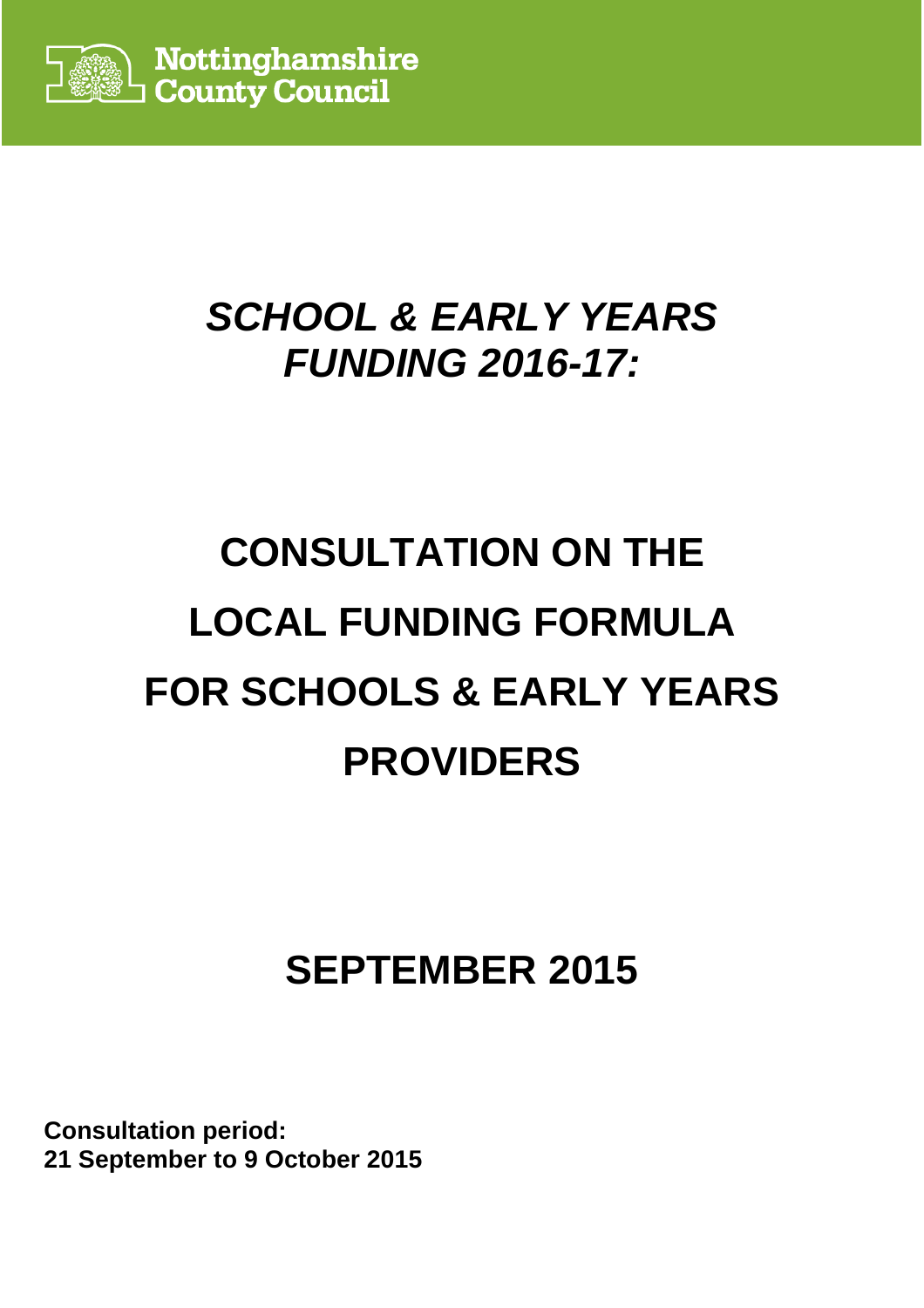

# **SCHOOL & EARLY YEARS FUNDING 2016-17:**

# **CONSULTATION ON THE LOCAL FUNDING FORMULA FOR SCHOOLS & EARLY YEARS PROVIDERS**

# **SEPTEMBER 2015**

**Consultation period: 21 September to 9 October 2015**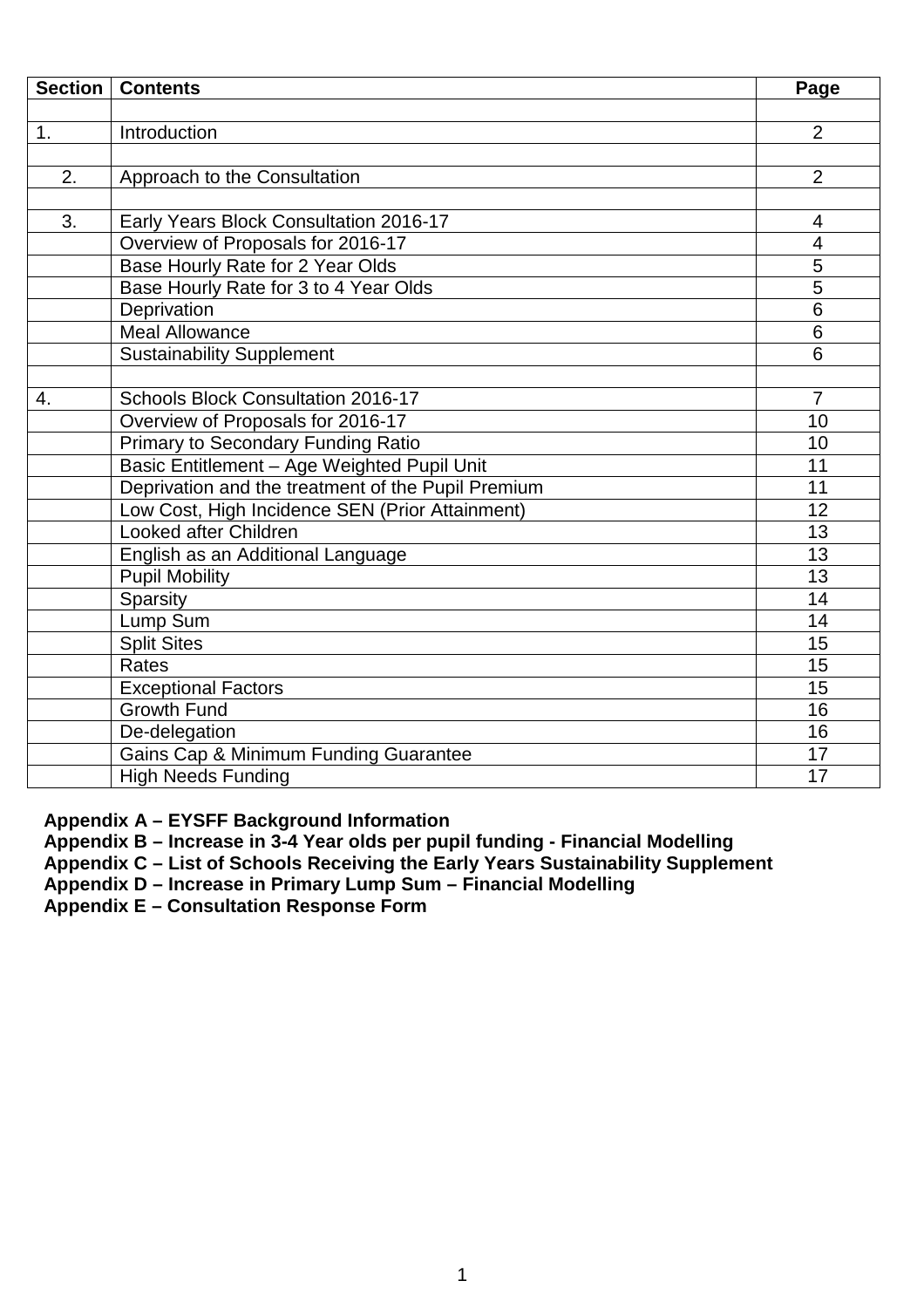|    | <b>Section   Contents</b>                          | Page           |
|----|----------------------------------------------------|----------------|
|    |                                                    |                |
| 1. | Introduction                                       | $\overline{2}$ |
|    |                                                    |                |
| 2. | Approach to the Consultation                       | $\overline{2}$ |
|    |                                                    |                |
| 3. | Early Years Block Consultation 2016-17             | 4              |
|    | Overview of Proposals for 2016-17                  | $\overline{4}$ |
|    | Base Hourly Rate for 2 Year Olds                   | $\overline{5}$ |
|    | Base Hourly Rate for 3 to 4 Year Olds              | $\overline{5}$ |
|    | Deprivation                                        | 6              |
|    | <b>Meal Allowance</b>                              | 6              |
|    | <b>Sustainability Supplement</b>                   | 6              |
|    |                                                    |                |
| 4. | <b>Schools Block Consultation 2016-17</b>          | $\overline{7}$ |
|    | Overview of Proposals for 2016-17                  | 10             |
|    | <b>Primary to Secondary Funding Ratio</b>          | 10             |
|    | Basic Entitlement - Age Weighted Pupil Unit        | 11             |
|    | Deprivation and the treatment of the Pupil Premium | 11             |
|    | Low Cost, High Incidence SEN (Prior Attainment)    | 12             |
|    | Looked after Children                              | 13             |
|    | English as an Additional Language                  | 13             |
|    | <b>Pupil Mobility</b>                              | 13             |
|    | Sparsity                                           | 14             |
|    | Lump Sum                                           | 14             |
|    | <b>Split Sites</b>                                 | 15             |
|    | <b>Rates</b>                                       | 15             |
|    | <b>Exceptional Factors</b>                         | 15             |
|    | <b>Growth Fund</b>                                 | 16             |
|    | De-delegation                                      | 16             |
|    | Gains Cap & Minimum Funding Guarantee              | 17             |
|    | <b>High Needs Funding</b>                          | 17             |

**Appendix A – EYSFF Background Information** 

**Appendix B – Increase in 3-4 Year olds per pupil funding - Financial Modelling** 

**Appendix C – List of Schools Receiving the Early Years Sustainability Supplement** 

**Appendix D – Increase in Primary Lump Sum – Financial Modelling** 

**Appendix E – Consultation Response Form**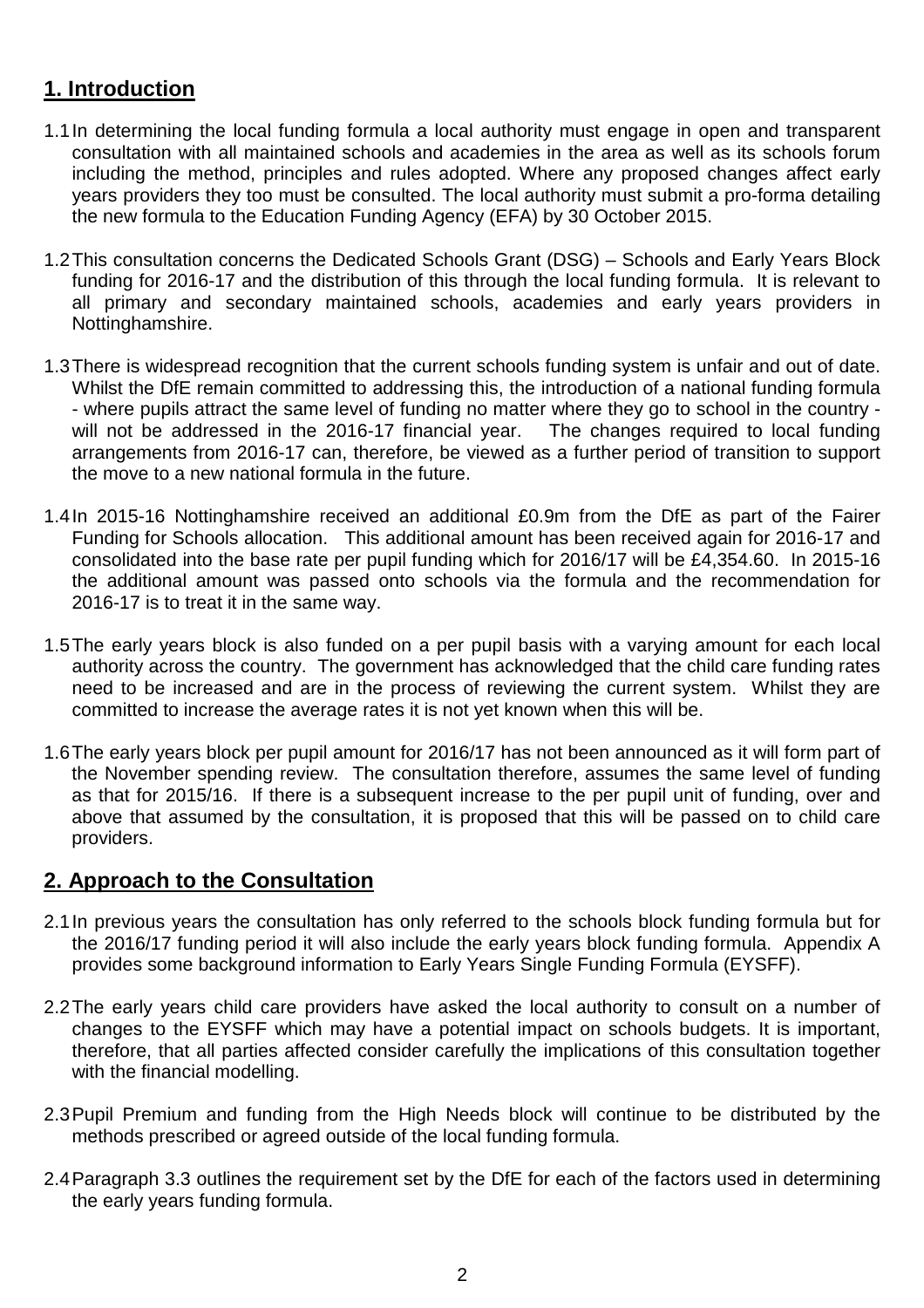# **1. Introduction**

- 1.1 In determining the local funding formula a local authority must engage in open and transparent consultation with all maintained schools and academies in the area as well as its schools forum including the method, principles and rules adopted. Where any proposed changes affect early years providers they too must be consulted. The local authority must submit a pro-forma detailing the new formula to the Education Funding Agency (EFA) by 30 October 2015.
- 1.2 This consultation concerns the Dedicated Schools Grant (DSG) Schools and Early Years Block funding for 2016-17 and the distribution of this through the local funding formula. It is relevant to all primary and secondary maintained schools, academies and early years providers in Nottinghamshire.
- 1.3 There is widespread recognition that the current schools funding system is unfair and out of date. Whilst the DfE remain committed to addressing this, the introduction of a national funding formula - where pupils attract the same level of funding no matter where they go to school in the country will not be addressed in the 2016-17 financial year. The changes required to local funding arrangements from 2016-17 can, therefore, be viewed as a further period of transition to support the move to a new national formula in the future.
- 1.4 In 2015-16 Nottinghamshire received an additional £0.9m from the DfE as part of the Fairer Funding for Schools allocation. This additional amount has been received again for 2016-17 and consolidated into the base rate per pupil funding which for 2016/17 will be £4,354.60. In 2015-16 the additional amount was passed onto schools via the formula and the recommendation for 2016-17 is to treat it in the same way.
- 1.5 The early years block is also funded on a per pupil basis with a varying amount for each local authority across the country. The government has acknowledged that the child care funding rates need to be increased and are in the process of reviewing the current system. Whilst they are committed to increase the average rates it is not yet known when this will be.
- 1.6 The early years block per pupil amount for 2016/17 has not been announced as it will form part of the November spending review. The consultation therefore, assumes the same level of funding as that for 2015/16. If there is a subsequent increase to the per pupil unit of funding, over and above that assumed by the consultation, it is proposed that this will be passed on to child care providers.

# **2. Approach to the Consultation**

- 2.1 In previous years the consultation has only referred to the schools block funding formula but for the 2016/17 funding period it will also include the early years block funding formula. Appendix A provides some background information to Early Years Single Funding Formula (EYSFF).
- 2.2 The early years child care providers have asked the local authority to consult on a number of changes to the EYSFF which may have a potential impact on schools budgets. It is important, therefore, that all parties affected consider carefully the implications of this consultation together with the financial modelling.
- 2.3 Pupil Premium and funding from the High Needs block will continue to be distributed by the methods prescribed or agreed outside of the local funding formula.
- 2.4 Paragraph 3.3 outlines the requirement set by the DfE for each of the factors used in determining the early years funding formula.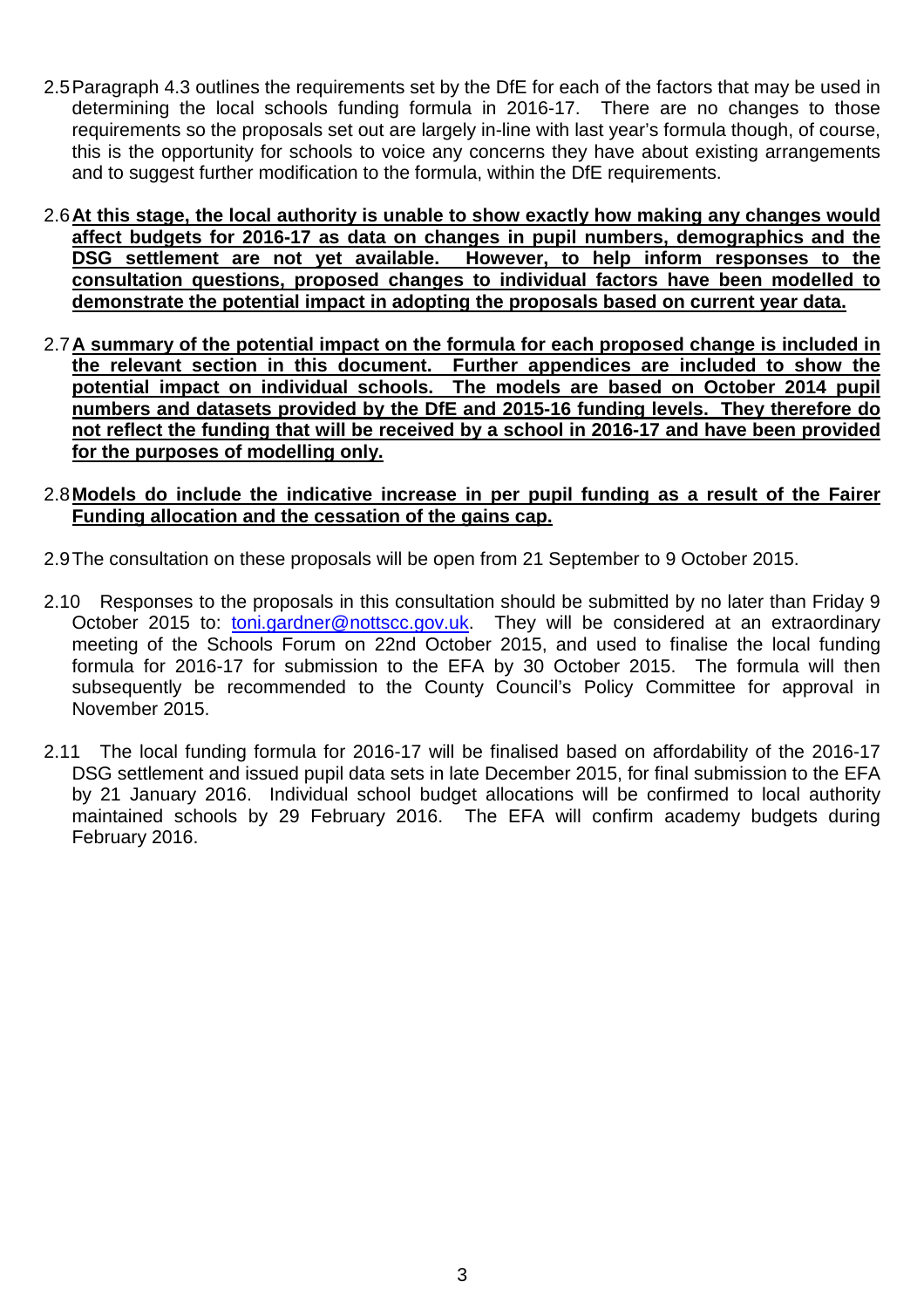- 2.5 Paragraph 4.3 outlines the requirements set by the DfE for each of the factors that may be used in determining the local schools funding formula in 2016-17. There are no changes to those requirements so the proposals set out are largely in-line with last year's formula though, of course, this is the opportunity for schools to voice any concerns they have about existing arrangements and to suggest further modification to the formula, within the DfE requirements.
- 2.6 **At this stage, the local authority is unable to show exactly how making any changes would affect budgets for 2016-17 as data on changes in pupil numbers, demographics and the DSG settlement are not yet available. However, to help inform responses to the consultation questions, proposed changes to individual factors have been modelled to demonstrate the potential impact in adopting the proposals based on current year data.**
- 2.7 **A summary of the potential impact on the formula for each proposed change is included in the relevant section in this document. Further appendices are included to show the potential impact on individual schools. The models are based on October 2014 pupil numbers and datasets provided by the DfE and 2015-16 funding levels. They therefore do not reflect the funding that will be received by a school in 2016-17 and have been provided for the purposes of modelling only.**
- 2.8 **Models do include the indicative increase in per pupil funding as a result of the Fairer Funding allocation and the cessation of the gains cap.**
- 2.9 The consultation on these proposals will be open from 21 September to 9 October 2015.
- 2.10 Responses to the proposals in this consultation should be submitted by no later than Friday 9 October 2015 to: toni.gardner@nottscc.gov.uk. They will be considered at an extraordinary meeting of the Schools Forum on 22nd October 2015, and used to finalise the local funding formula for 2016-17 for submission to the EFA by 30 October 2015. The formula will then subsequently be recommended to the County Council's Policy Committee for approval in November 2015.
- 2.11 The local funding formula for 2016-17 will be finalised based on affordability of the 2016-17 DSG settlement and issued pupil data sets in late December 2015, for final submission to the EFA by 21 January 2016. Individual school budget allocations will be confirmed to local authority maintained schools by 29 February 2016. The EFA will confirm academy budgets during February 2016.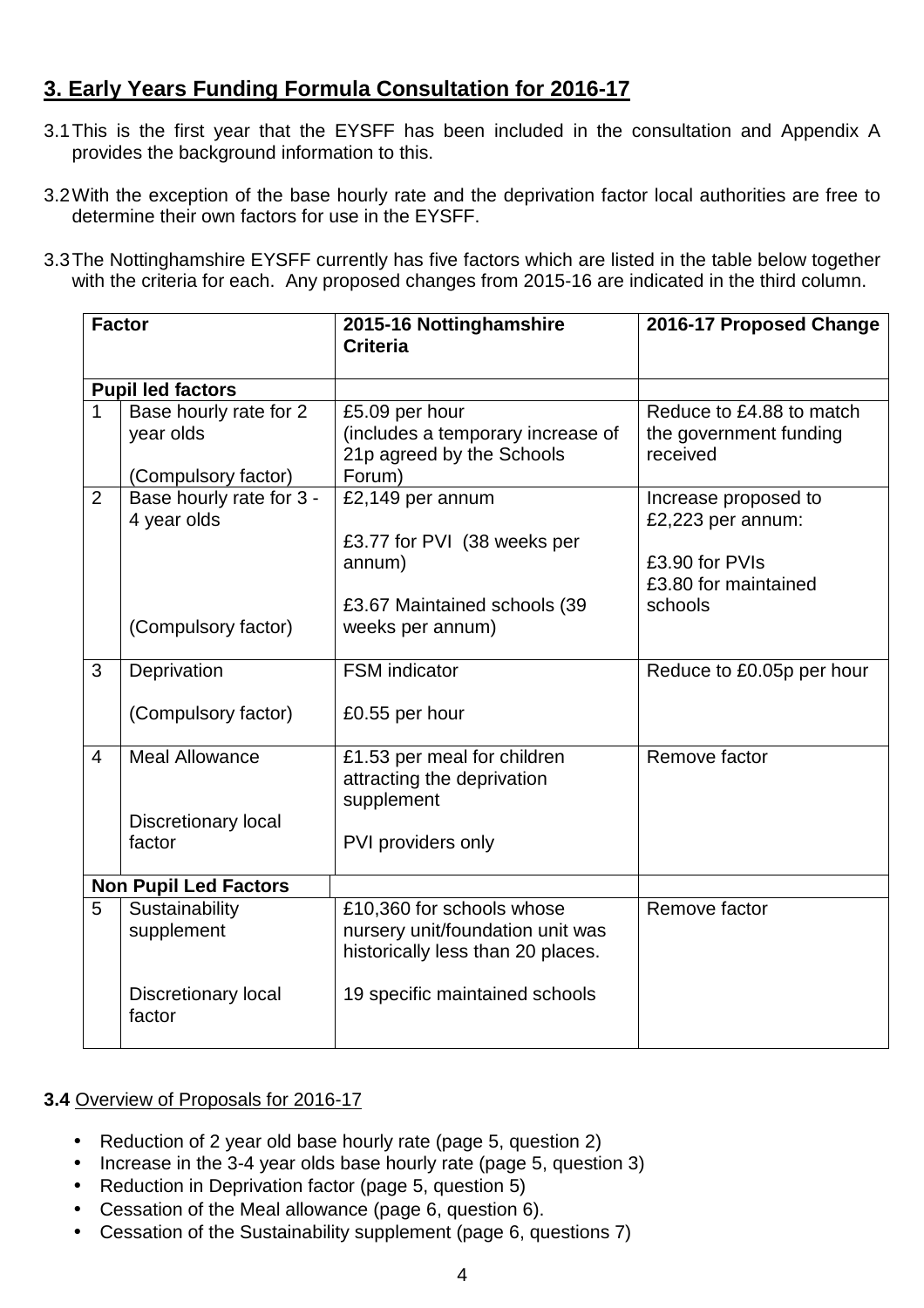# **3. Early Years Funding Formula Consultation for 2016-17**

- 3.1 This is the first year that the EYSFF has been included in the consultation and Appendix A provides the background information to this.
- 3.2 With the exception of the base hourly rate and the deprivation factor local authorities are free to determine their own factors for use in the EYSFF.
- 3.3 The Nottinghamshire EYSFF currently has five factors which are listed in the table below together with the criteria for each. Any proposed changes from 2015-16 are indicated in the third column.

| <b>Factor</b>                |                                      | 2015-16 Nottinghamshire               | 2016-17 Proposed Change   |
|------------------------------|--------------------------------------|---------------------------------------|---------------------------|
|                              |                                      | <b>Criteria</b>                       |                           |
| <b>Pupil led factors</b>     |                                      |                                       |                           |
| 1                            | Base hourly rate for 2               | £5.09 per hour                        | Reduce to £4.88 to match  |
|                              | year olds                            | (includes a temporary increase of     | the government funding    |
|                              |                                      | 21p agreed by the Schools             | received                  |
|                              | (Compulsory factor)                  | Forum)                                |                           |
| $\overline{2}$               | Base hourly rate for 3 -             | £2,149 per annum                      | Increase proposed to      |
|                              | 4 year olds                          |                                       | £2,223 per annum:         |
|                              |                                      | £3.77 for PVI (38 weeks per<br>annum) | £3.90 for PVIs            |
|                              |                                      |                                       | £3.80 for maintained      |
|                              |                                      | £3.67 Maintained schools (39          | schools                   |
|                              | (Compulsory factor)                  | weeks per annum)                      |                           |
|                              |                                      |                                       |                           |
| 3                            | Deprivation                          | <b>FSM</b> indicator                  | Reduce to £0.05p per hour |
|                              |                                      |                                       |                           |
|                              | (Compulsory factor)                  | £0.55 per hour                        |                           |
| $\overline{4}$               | <b>Meal Allowance</b>                | £1.53 per meal for children           | Remove factor             |
|                              |                                      | attracting the deprivation            |                           |
|                              |                                      | supplement                            |                           |
|                              | <b>Discretionary local</b><br>factor | PVI providers only                    |                           |
|                              |                                      |                                       |                           |
| <b>Non Pupil Led Factors</b> |                                      |                                       |                           |
| 5                            | Sustainability                       | £10,360 for schools whose             | Remove factor             |
|                              | supplement                           | nursery unit/foundation unit was      |                           |
|                              |                                      | historically less than 20 places.     |                           |
|                              | Discretionary local                  | 19 specific maintained schools        |                           |
|                              | factor                               |                                       |                           |
|                              |                                      |                                       |                           |

# **3.4** Overview of Proposals for 2016-17

- Reduction of 2 year old base hourly rate (page 5, question 2)
- Increase in the 3-4 year olds base hourly rate (page 5, question 3)
- Reduction in Deprivation factor (page 5, question 5)
- Cessation of the Meal allowance (page 6, question 6).
- Cessation of the Sustainability supplement (page 6, questions 7)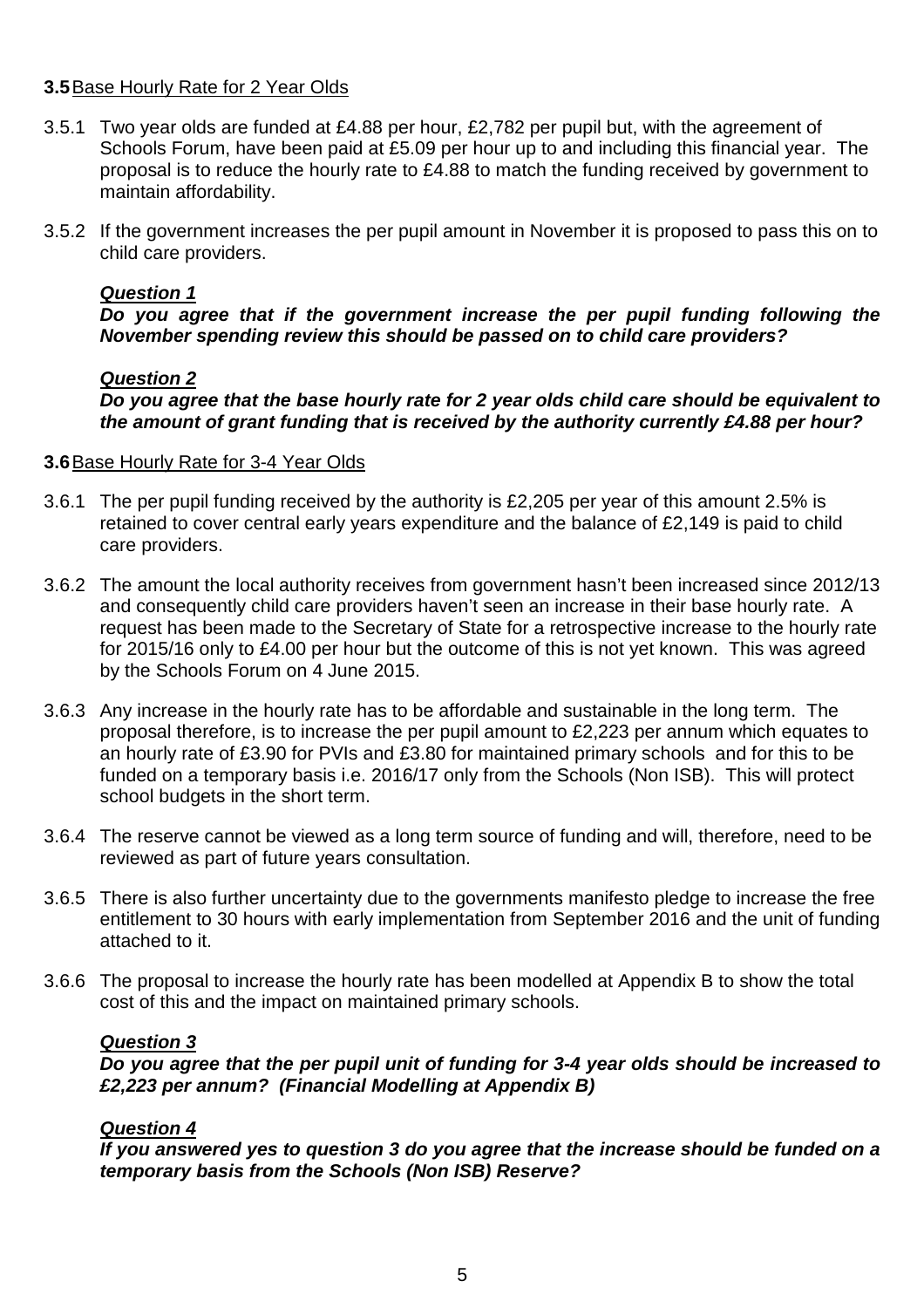# **3.5** Base Hourly Rate for 2 Year Olds

- 3.5.1 Two year olds are funded at £4.88 per hour, £2,782 per pupil but, with the agreement of Schools Forum, have been paid at £5.09 per hour up to and including this financial year. The proposal is to reduce the hourly rate to £4.88 to match the funding received by government to maintain affordability.
- 3.5.2 If the government increases the per pupil amount in November it is proposed to pass this on to child care providers.

# **Question 1**

**Do you agree that if the government increase the per pupil funding following the November spending review this should be passed on to child care providers?** 

# **Question 2**

**Do you agree that the base hourly rate for 2 year olds child care should be equivalent to the amount of grant funding that is received by the authority currently £4.88 per hour?** 

# **3.6** Base Hourly Rate for 3-4 Year Olds

- 3.6.1 The per pupil funding received by the authority is £2,205 per year of this amount 2.5% is retained to cover central early years expenditure and the balance of £2,149 is paid to child care providers.
- 3.6.2 The amount the local authority receives from government hasn't been increased since 2012/13 and consequently child care providers haven't seen an increase in their base hourly rate. A request has been made to the Secretary of State for a retrospective increase to the hourly rate for 2015/16 only to £4.00 per hour but the outcome of this is not yet known. This was agreed by the Schools Forum on 4 June 2015.
- 3.6.3 Any increase in the hourly rate has to be affordable and sustainable in the long term. The proposal therefore, is to increase the per pupil amount to £2,223 per annum which equates to an hourly rate of £3.90 for PVIs and £3.80 for maintained primary schools and for this to be funded on a temporary basis i.e. 2016/17 only from the Schools (Non ISB). This will protect school budgets in the short term.
- 3.6.4 The reserve cannot be viewed as a long term source of funding and will, therefore, need to be reviewed as part of future years consultation.
- 3.6.5 There is also further uncertainty due to the governments manifesto pledge to increase the free entitlement to 30 hours with early implementation from September 2016 and the unit of funding attached to it.
- 3.6.6 The proposal to increase the hourly rate has been modelled at Appendix B to show the total cost of this and the impact on maintained primary schools.

# **Question 3**

**Do you agree that the per pupil unit of funding for 3-4 year olds should be increased to £2,223 per annum? (Financial Modelling at Appendix B)** 

# **Question 4**

**If you answered yes to question 3 do you agree that the increase should be funded on a temporary basis from the Schools (Non ISB) Reserve?**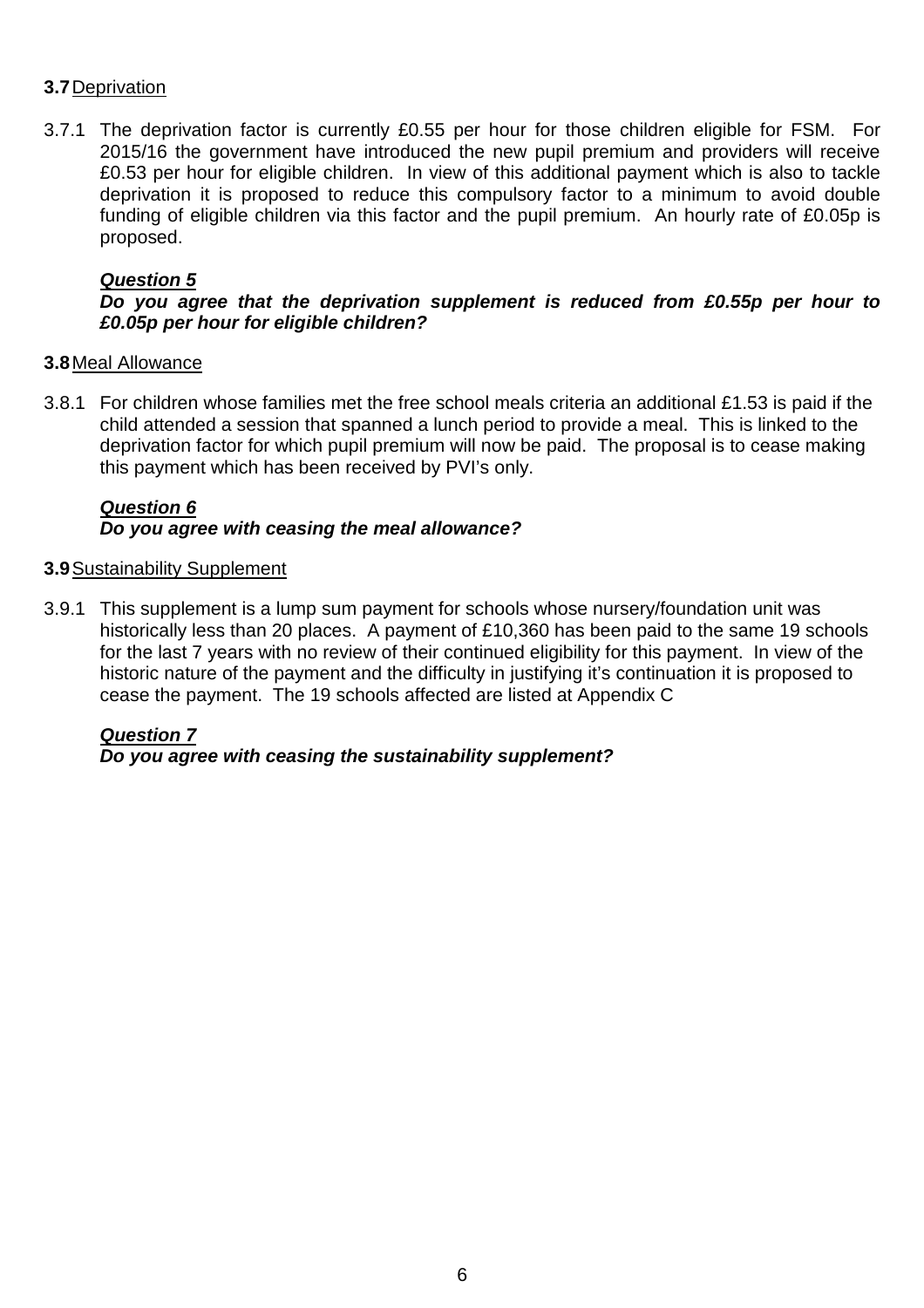# **3.7** Deprivation

3.7.1 The deprivation factor is currently £0.55 per hour for those children eligible for FSM. For 2015/16 the government have introduced the new pupil premium and providers will receive £0.53 per hour for eligible children. In view of this additional payment which is also to tackle deprivation it is proposed to reduce this compulsory factor to a minimum to avoid double funding of eligible children via this factor and the pupil premium. An hourly rate of £0.05p is proposed.

# **Question 5**

# **Do you agree that the deprivation supplement is reduced from £0.55p per hour to £0.05p per hour for eligible children?**

# **3.8** Meal Allowance

3.8.1 For children whose families met the free school meals criteria an additional £1.53 is paid if the child attended a session that spanned a lunch period to provide a meal. This is linked to the deprivation factor for which pupil premium will now be paid. The proposal is to cease making this payment which has been received by PVI's only.

# **Question 6 Do you agree with ceasing the meal allowance?**

# **3.9** Sustainability Supplement

3.9.1 This supplement is a lump sum payment for schools whose nursery/foundation unit was historically less than 20 places. A payment of £10,360 has been paid to the same 19 schools for the last 7 years with no review of their continued eligibility for this payment. In view of the historic nature of the payment and the difficulty in justifying it's continuation it is proposed to cease the payment. The 19 schools affected are listed at Appendix C

# **Question 7**

**Do you agree with ceasing the sustainability supplement?**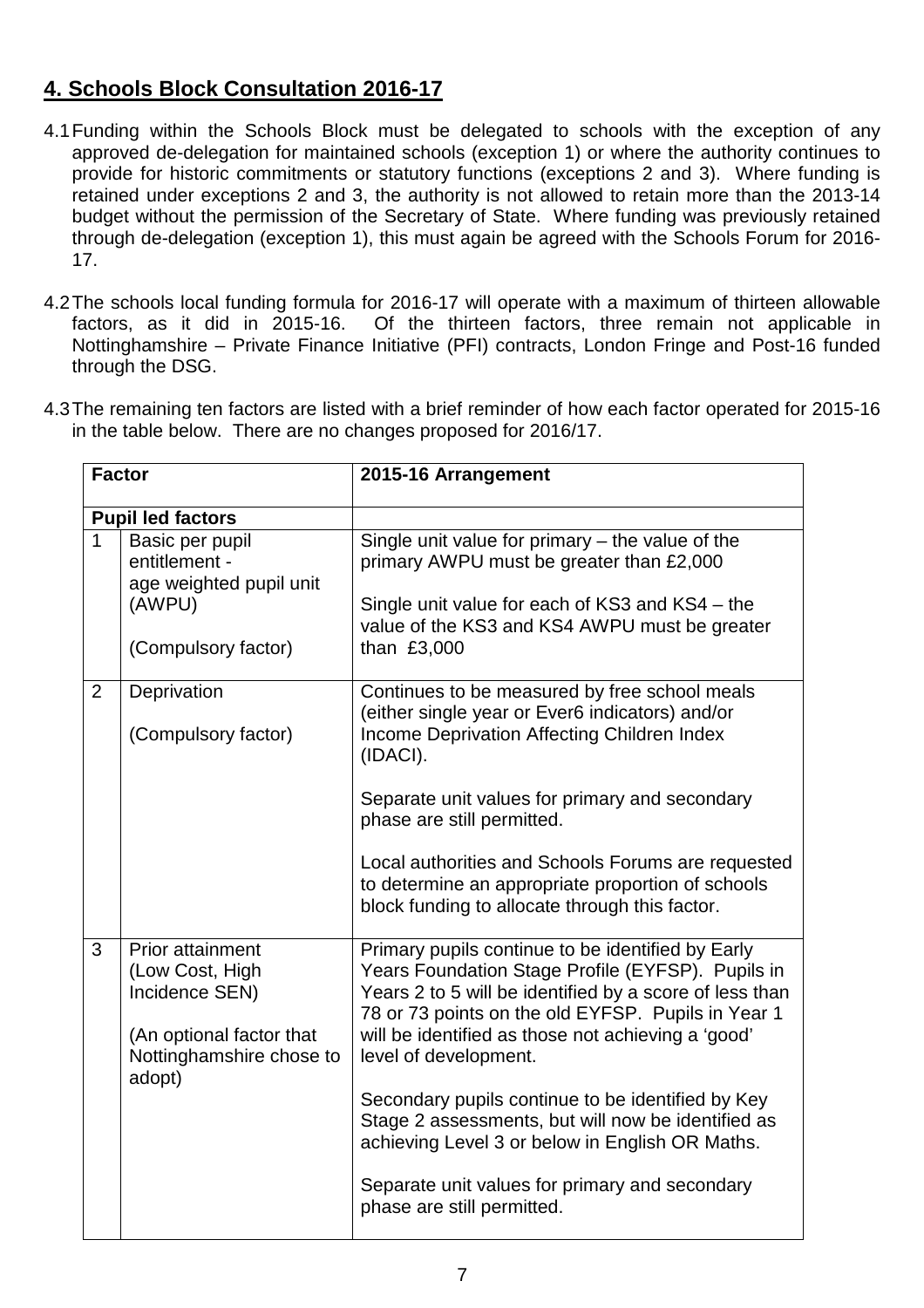# **4. Schools Block Consultation 2016-17**

- 4.1 Funding within the Schools Block must be delegated to schools with the exception of any approved de-delegation for maintained schools (exception 1) or where the authority continues to provide for historic commitments or statutory functions (exceptions 2 and 3). Where funding is retained under exceptions 2 and 3, the authority is not allowed to retain more than the 2013-14 budget without the permission of the Secretary of State. Where funding was previously retained through de-delegation (exception 1), this must again be agreed with the Schools Forum for 2016- 17.
- 4.2 The schools local funding formula for 2016-17 will operate with a maximum of thirteen allowable factors, as it did in 2015-16. Of the thirteen factors, three remain not applicable in Nottinghamshire – Private Finance Initiative (PFI) contracts, London Fringe and Post-16 funded through the DSG.

| <b>Factor</b>            |                                                                                                                         | 2015-16 Arrangement                                                                                                                                                                                                                                                                                                                                                                                                                                                                                                                                  |
|--------------------------|-------------------------------------------------------------------------------------------------------------------------|------------------------------------------------------------------------------------------------------------------------------------------------------------------------------------------------------------------------------------------------------------------------------------------------------------------------------------------------------------------------------------------------------------------------------------------------------------------------------------------------------------------------------------------------------|
| <b>Pupil led factors</b> |                                                                                                                         |                                                                                                                                                                                                                                                                                                                                                                                                                                                                                                                                                      |
| $\mathbf 1$              | Basic per pupil<br>entitlement -<br>age weighted pupil unit<br>(AWPU)<br>(Compulsory factor)                            | Single unit value for primary $-$ the value of the<br>primary AWPU must be greater than £2,000<br>Single unit value for each of KS3 and KS4 – the<br>value of the KS3 and KS4 AWPU must be greater<br>than £3,000                                                                                                                                                                                                                                                                                                                                    |
| $\overline{2}$           | Deprivation<br>(Compulsory factor)                                                                                      | Continues to be measured by free school meals<br>(either single year or Ever6 indicators) and/or<br>Income Deprivation Affecting Children Index<br>(IDACI).<br>Separate unit values for primary and secondary<br>phase are still permitted.<br>Local authorities and Schools Forums are requested<br>to determine an appropriate proportion of schools<br>block funding to allocate through this factor.                                                                                                                                             |
| 3                        | Prior attainment<br>(Low Cost, High<br>Incidence SEN)<br>(An optional factor that<br>Nottinghamshire chose to<br>adopt) | Primary pupils continue to be identified by Early<br>Years Foundation Stage Profile (EYFSP). Pupils in<br>Years 2 to 5 will be identified by a score of less than<br>78 or 73 points on the old EYFSP. Pupils in Year 1<br>will be identified as those not achieving a 'good'<br>level of development.<br>Secondary pupils continue to be identified by Key<br>Stage 2 assessments, but will now be identified as<br>achieving Level 3 or below in English OR Maths.<br>Separate unit values for primary and secondary<br>phase are still permitted. |

4.3 The remaining ten factors are listed with a brief reminder of how each factor operated for 2015-16 in the table below. There are no changes proposed for 2016/17.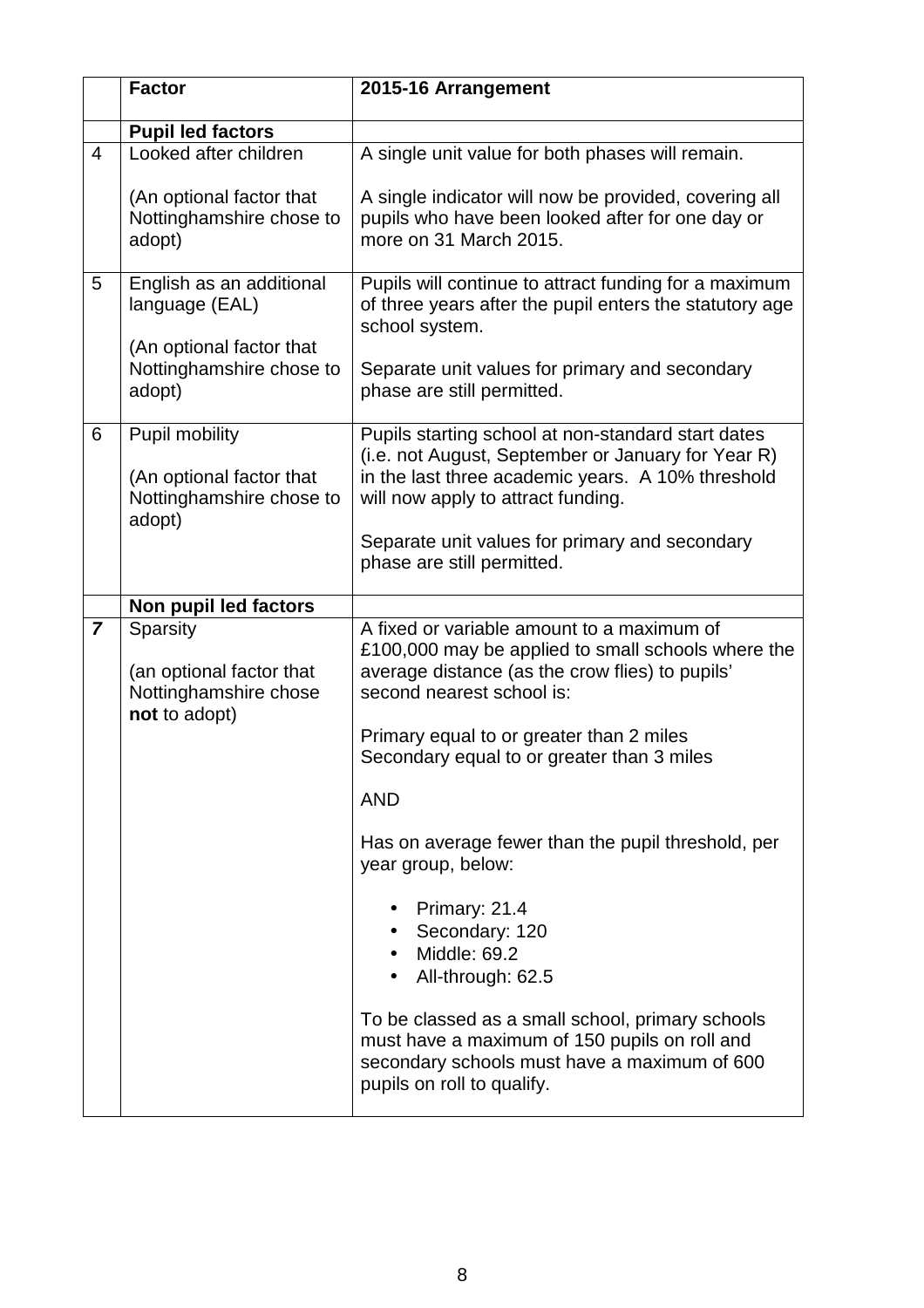|                | <b>Factor</b>                                                                    | 2015-16 Arrangement                                                                                                                                                                                                                                                        |
|----------------|----------------------------------------------------------------------------------|----------------------------------------------------------------------------------------------------------------------------------------------------------------------------------------------------------------------------------------------------------------------------|
|                | <b>Pupil led factors</b>                                                         |                                                                                                                                                                                                                                                                            |
| $\overline{4}$ | Looked after children                                                            | A single unit value for both phases will remain.                                                                                                                                                                                                                           |
|                | (An optional factor that<br>Nottinghamshire chose to<br>adopt)                   | A single indicator will now be provided, covering all<br>pupils who have been looked after for one day or<br>more on 31 March 2015.                                                                                                                                        |
| 5              | English as an additional<br>language (EAL)<br>(An optional factor that           | Pupils will continue to attract funding for a maximum<br>of three years after the pupil enters the statutory age<br>school system.                                                                                                                                         |
|                | Nottinghamshire chose to<br>adopt)                                               | Separate unit values for primary and secondary<br>phase are still permitted.                                                                                                                                                                                               |
| 6              | Pupil mobility<br>(An optional factor that<br>Nottinghamshire chose to<br>adopt) | Pupils starting school at non-standard start dates<br>(i.e. not August, September or January for Year R)<br>in the last three academic years. A 10% threshold<br>will now apply to attract funding.                                                                        |
|                |                                                                                  | Separate unit values for primary and secondary<br>phase are still permitted.                                                                                                                                                                                               |
|                | Non pupil led factors                                                            |                                                                                                                                                                                                                                                                            |
| $\overline{7}$ | Sparsity<br>(an optional factor that<br>Nottinghamshire chose<br>not to adopt)   | A fixed or variable amount to a maximum of<br>£100,000 may be applied to small schools where the<br>average distance (as the crow flies) to pupils'<br>second nearest school is:<br>Primary equal to or greater than 2 miles<br>Secondary equal to or greater than 3 miles |
|                |                                                                                  | <b>AND</b>                                                                                                                                                                                                                                                                 |
|                |                                                                                  | Has on average fewer than the pupil threshold, per<br>year group, below:                                                                                                                                                                                                   |
|                |                                                                                  | Primary: 21.4<br>Secondary: 120<br>Middle: 69.2<br>All-through: 62.5                                                                                                                                                                                                       |
|                |                                                                                  | To be classed as a small school, primary schools<br>must have a maximum of 150 pupils on roll and<br>secondary schools must have a maximum of 600<br>pupils on roll to qualify.                                                                                            |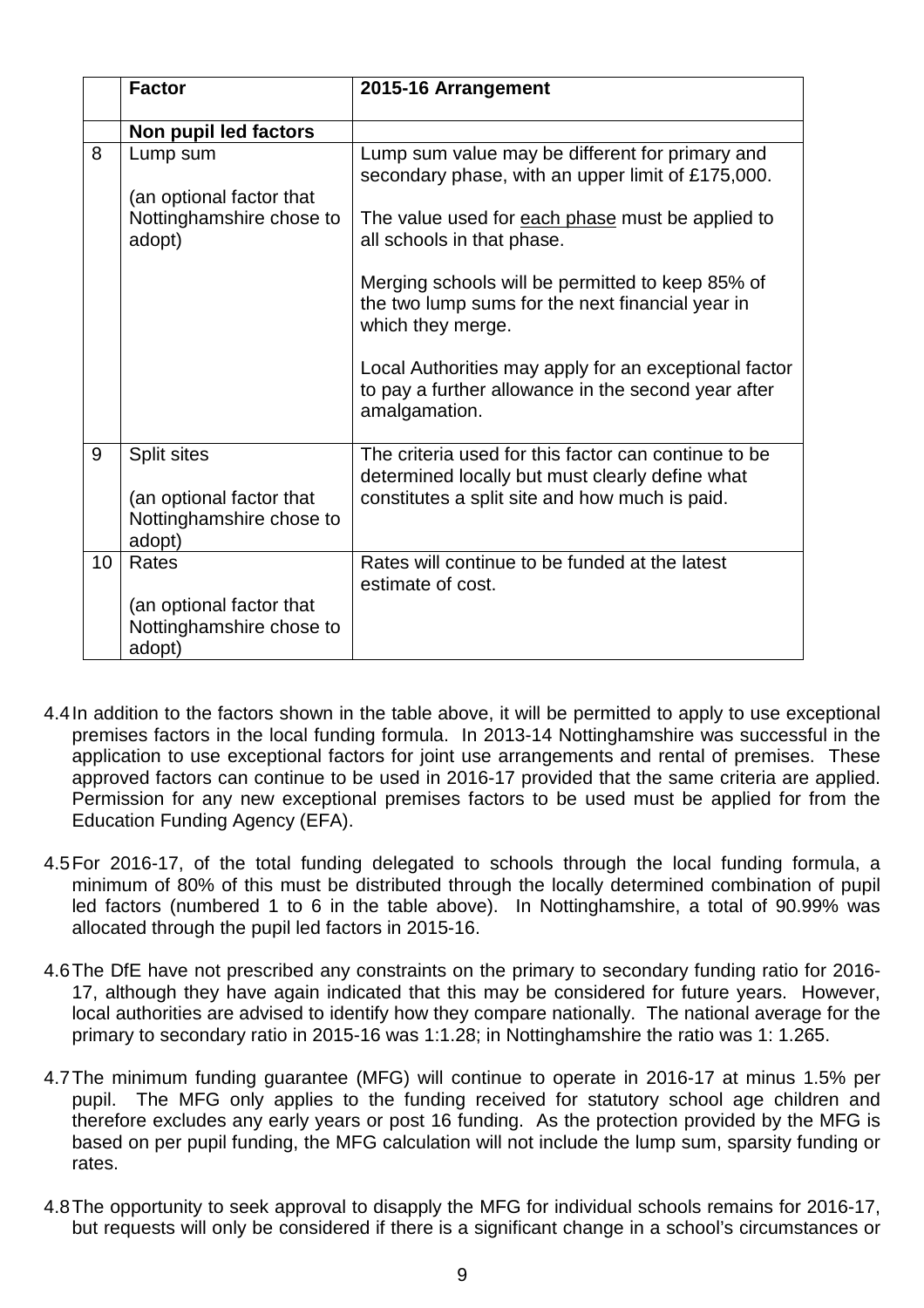|    | <b>Factor</b>                                                                        | 2015-16 Arrangement                                                                                                                                       |
|----|--------------------------------------------------------------------------------------|-----------------------------------------------------------------------------------------------------------------------------------------------------------|
|    | Non pupil led factors                                                                |                                                                                                                                                           |
| 8  | Lump sum                                                                             | Lump sum value may be different for primary and<br>secondary phase, with an upper limit of £175,000.                                                      |
|    | (an optional factor that<br>Nottinghamshire chose to<br>adopt)                       | The value used for each phase must be applied to<br>all schools in that phase.                                                                            |
|    |                                                                                      | Merging schools will be permitted to keep 85% of<br>the two lump sums for the next financial year in<br>which they merge.                                 |
|    |                                                                                      | Local Authorities may apply for an exceptional factor<br>to pay a further allowance in the second year after<br>amalgamation.                             |
| 9  | <b>Split sites</b><br>(an optional factor that<br>Nottinghamshire chose to<br>adopt) | The criteria used for this factor can continue to be<br>determined locally but must clearly define what<br>constitutes a split site and how much is paid. |
| 10 | Rates<br>(an optional factor that<br>Nottinghamshire chose to                        | Rates will continue to be funded at the latest<br>estimate of cost.                                                                                       |
|    | adopt)                                                                               |                                                                                                                                                           |

- 4.4 In addition to the factors shown in the table above, it will be permitted to apply to use exceptional premises factors in the local funding formula. In 2013-14 Nottinghamshire was successful in the application to use exceptional factors for joint use arrangements and rental of premises. These approved factors can continue to be used in 2016-17 provided that the same criteria are applied. Permission for any new exceptional premises factors to be used must be applied for from the Education Funding Agency (EFA).
- 4.5 For 2016-17, of the total funding delegated to schools through the local funding formula, a minimum of 80% of this must be distributed through the locally determined combination of pupil led factors (numbered 1 to 6 in the table above). In Nottinghamshire, a total of 90.99% was allocated through the pupil led factors in 2015-16.
- 4.6 The DfE have not prescribed any constraints on the primary to secondary funding ratio for 2016- 17, although they have again indicated that this may be considered for future years. However, local authorities are advised to identify how they compare nationally. The national average for the primary to secondary ratio in 2015-16 was 1:1.28; in Nottinghamshire the ratio was 1: 1.265.
- 4.7 The minimum funding guarantee (MFG) will continue to operate in 2016-17 at minus 1.5% per pupil. The MFG only applies to the funding received for statutory school age children and therefore excludes any early years or post 16 funding. As the protection provided by the MFG is based on per pupil funding, the MFG calculation will not include the lump sum, sparsity funding or rates.
- 4.8 The opportunity to seek approval to disapply the MFG for individual schools remains for 2016-17, but requests will only be considered if there is a significant change in a school's circumstances or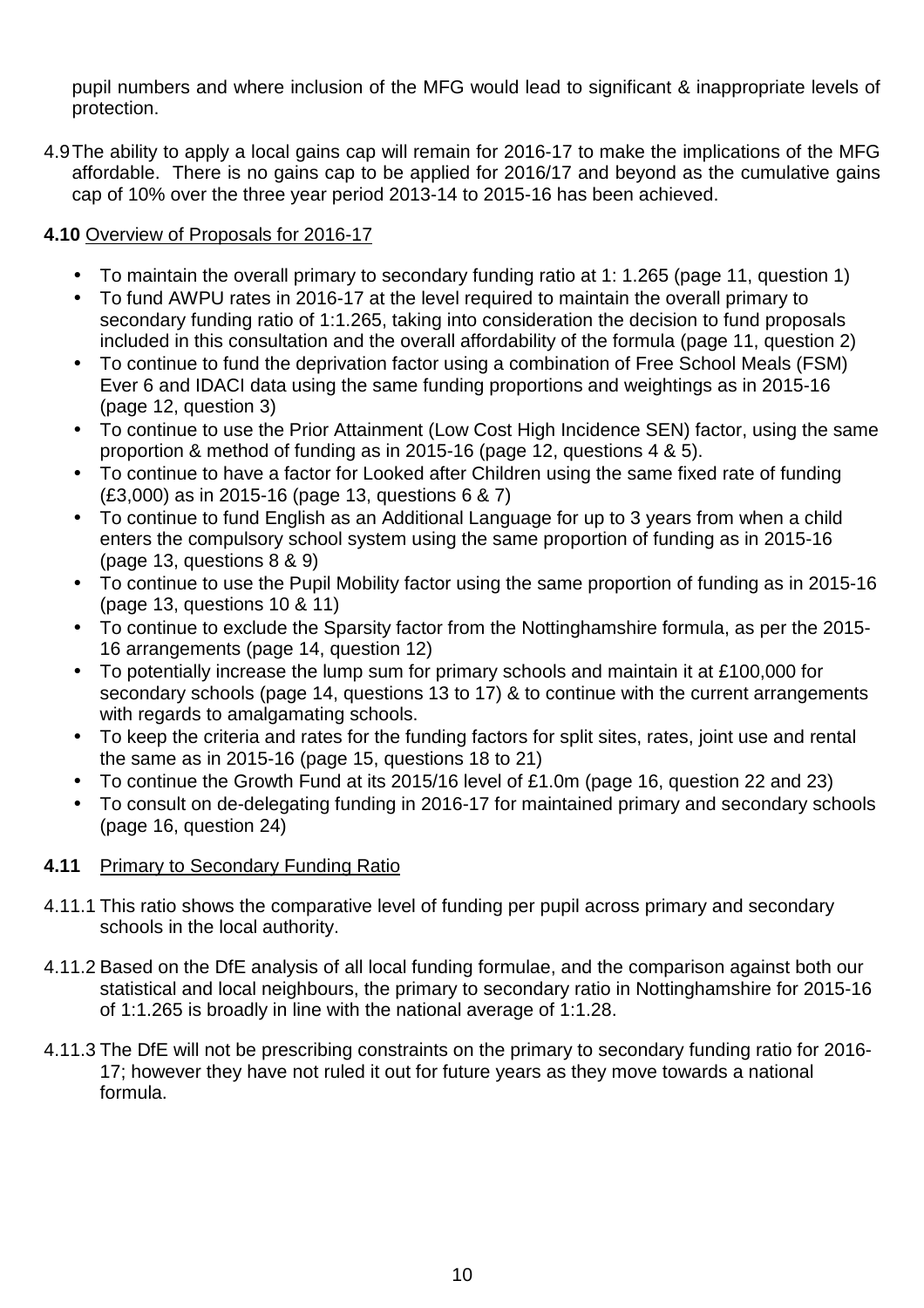pupil numbers and where inclusion of the MFG would lead to significant & inappropriate levels of protection.

4.9 The ability to apply a local gains cap will remain for 2016-17 to make the implications of the MFG affordable. There is no gains cap to be applied for 2016/17 and beyond as the cumulative gains cap of 10% over the three year period 2013-14 to 2015-16 has been achieved.

# **4.10** Overview of Proposals for 2016-17

- To maintain the overall primary to secondary funding ratio at 1: 1.265 (page 11, question 1)
- To fund AWPU rates in 2016-17 at the level required to maintain the overall primary to secondary funding ratio of 1:1.265, taking into consideration the decision to fund proposals included in this consultation and the overall affordability of the formula (page 11, question 2)
- To continue to fund the deprivation factor using a combination of Free School Meals (FSM) Ever 6 and IDACI data using the same funding proportions and weightings as in 2015-16 (page 12, question 3)
- To continue to use the Prior Attainment (Low Cost High Incidence SEN) factor, using the same proportion & method of funding as in 2015-16 (page 12, questions 4 & 5).
- To continue to have a factor for Looked after Children using the same fixed rate of funding (£3,000) as in 2015-16 (page 13, questions 6 & 7)
- To continue to fund English as an Additional Language for up to 3 years from when a child enters the compulsory school system using the same proportion of funding as in 2015-16 (page 13, questions 8 & 9)
- To continue to use the Pupil Mobility factor using the same proportion of funding as in 2015-16 (page 13, questions 10 & 11)
- To continue to exclude the Sparsity factor from the Nottinghamshire formula, as per the 2015- 16 arrangements (page 14, question 12)
- To potentially increase the lump sum for primary schools and maintain it at £100,000 for secondary schools (page 14, questions 13 to 17) & to continue with the current arrangements with regards to amalgamating schools.
- To keep the criteria and rates for the funding factors for split sites, rates, joint use and rental the same as in 2015-16 (page 15, questions 18 to 21)
- To continue the Growth Fund at its 2015/16 level of £1.0m (page 16, question 22 and 23)
- To consult on de-delegating funding in 2016-17 for maintained primary and secondary schools (page 16, question 24)

# **4.11** Primary to Secondary Funding Ratio

- 4.11.1 This ratio shows the comparative level of funding per pupil across primary and secondary schools in the local authority.
- 4.11.2 Based on the DfE analysis of all local funding formulae, and the comparison against both our statistical and local neighbours, the primary to secondary ratio in Nottinghamshire for 2015-16 of 1:1.265 is broadly in line with the national average of 1:1.28.
- 4.11.3 The DfE will not be prescribing constraints on the primary to secondary funding ratio for 2016- 17; however they have not ruled it out for future years as they move towards a national formula.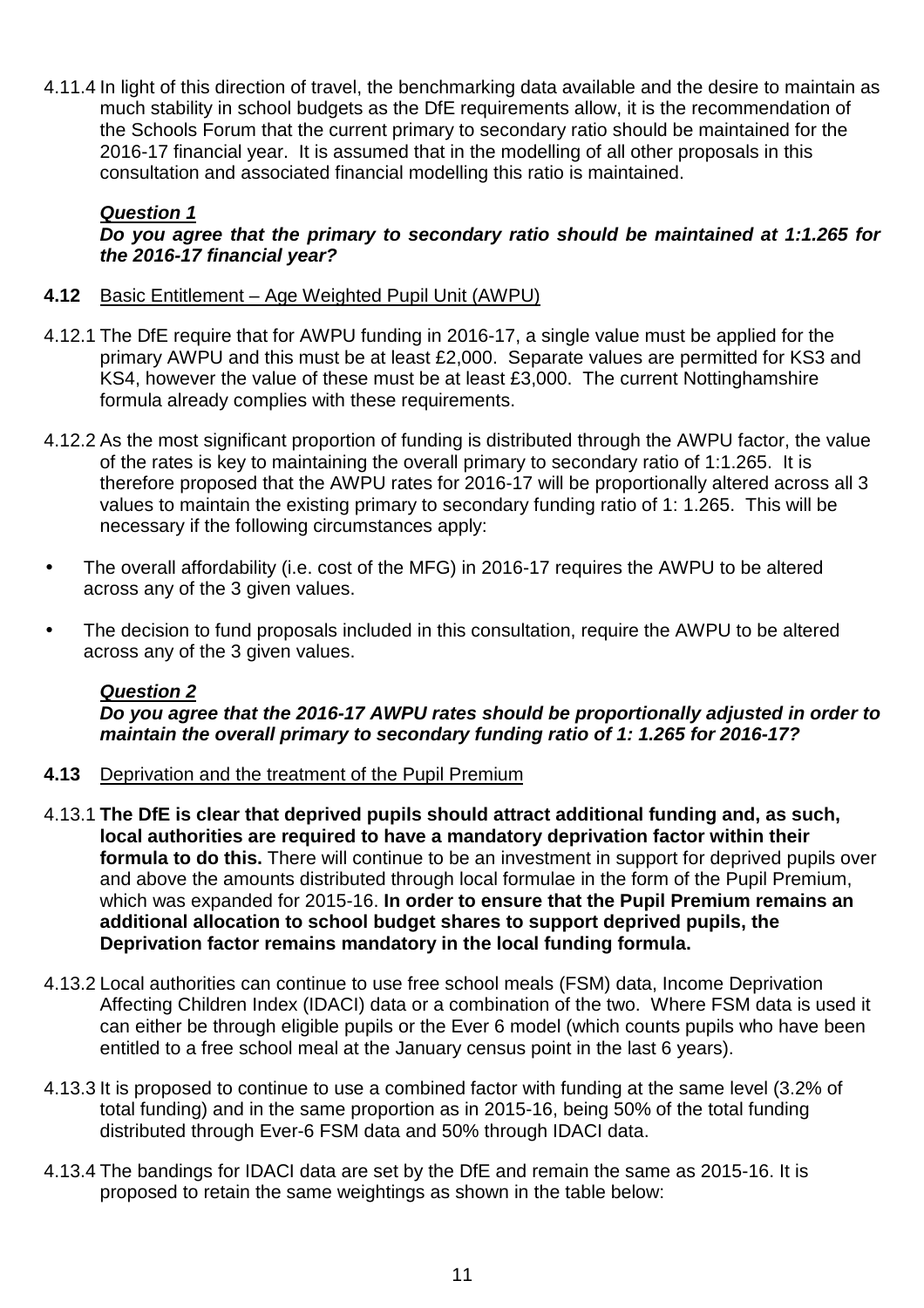4.11.4 In light of this direction of travel, the benchmarking data available and the desire to maintain as much stability in school budgets as the DfE requirements allow, it is the recommendation of the Schools Forum that the current primary to secondary ratio should be maintained for the 2016-17 financial year. It is assumed that in the modelling of all other proposals in this consultation and associated financial modelling this ratio is maintained.

#### **Question 1 Do you agree that the primary to secondary ratio should be maintained at 1:1.265 for the 2016-17 financial year?**

- **4.12** Basic Entitlement Age Weighted Pupil Unit (AWPU)
- 4.12.1 The DfE require that for AWPU funding in 2016-17, a single value must be applied for the primary AWPU and this must be at least £2,000. Separate values are permitted for KS3 and KS4, however the value of these must be at least £3,000. The current Nottinghamshire formula already complies with these requirements.
- 4.12.2 As the most significant proportion of funding is distributed through the AWPU factor, the value of the rates is key to maintaining the overall primary to secondary ratio of 1:1.265. It is therefore proposed that the AWPU rates for 2016-17 will be proportionally altered across all 3 values to maintain the existing primary to secondary funding ratio of 1: 1.265. This will be necessary if the following circumstances apply:
- The overall affordability (i.e. cost of the MFG) in 2016-17 requires the AWPU to be altered across any of the 3 given values.
- The decision to fund proposals included in this consultation, require the AWPU to be altered across any of the 3 given values.

# **Question 2**

**Do you agree that the 2016-17 AWPU rates should be proportionally adjusted in order to maintain the overall primary to secondary funding ratio of 1: 1.265 for 2016-17?** 

- **4.13** Deprivation and the treatment of the Pupil Premium
- 4.13.1 **The DfE is clear that deprived pupils should attract additional funding and, as such, local authorities are required to have a mandatory deprivation factor within their formula to do this.** There will continue to be an investment in support for deprived pupils over and above the amounts distributed through local formulae in the form of the Pupil Premium, which was expanded for 2015-16. **In order to ensure that the Pupil Premium remains an additional allocation to school budget shares to support deprived pupils, the Deprivation factor remains mandatory in the local funding formula.**
- 4.13.2 Local authorities can continue to use free school meals (FSM) data, Income Deprivation Affecting Children Index (IDACI) data or a combination of the two. Where FSM data is used it can either be through eligible pupils or the Ever 6 model (which counts pupils who have been entitled to a free school meal at the January census point in the last 6 years).
- 4.13.3 It is proposed to continue to use a combined factor with funding at the same level (3.2% of total funding) and in the same proportion as in 2015-16, being 50% of the total funding distributed through Ever-6 FSM data and 50% through IDACI data.
- 4.13.4 The bandings for IDACI data are set by the DfE and remain the same as 2015-16. It is proposed to retain the same weightings as shown in the table below: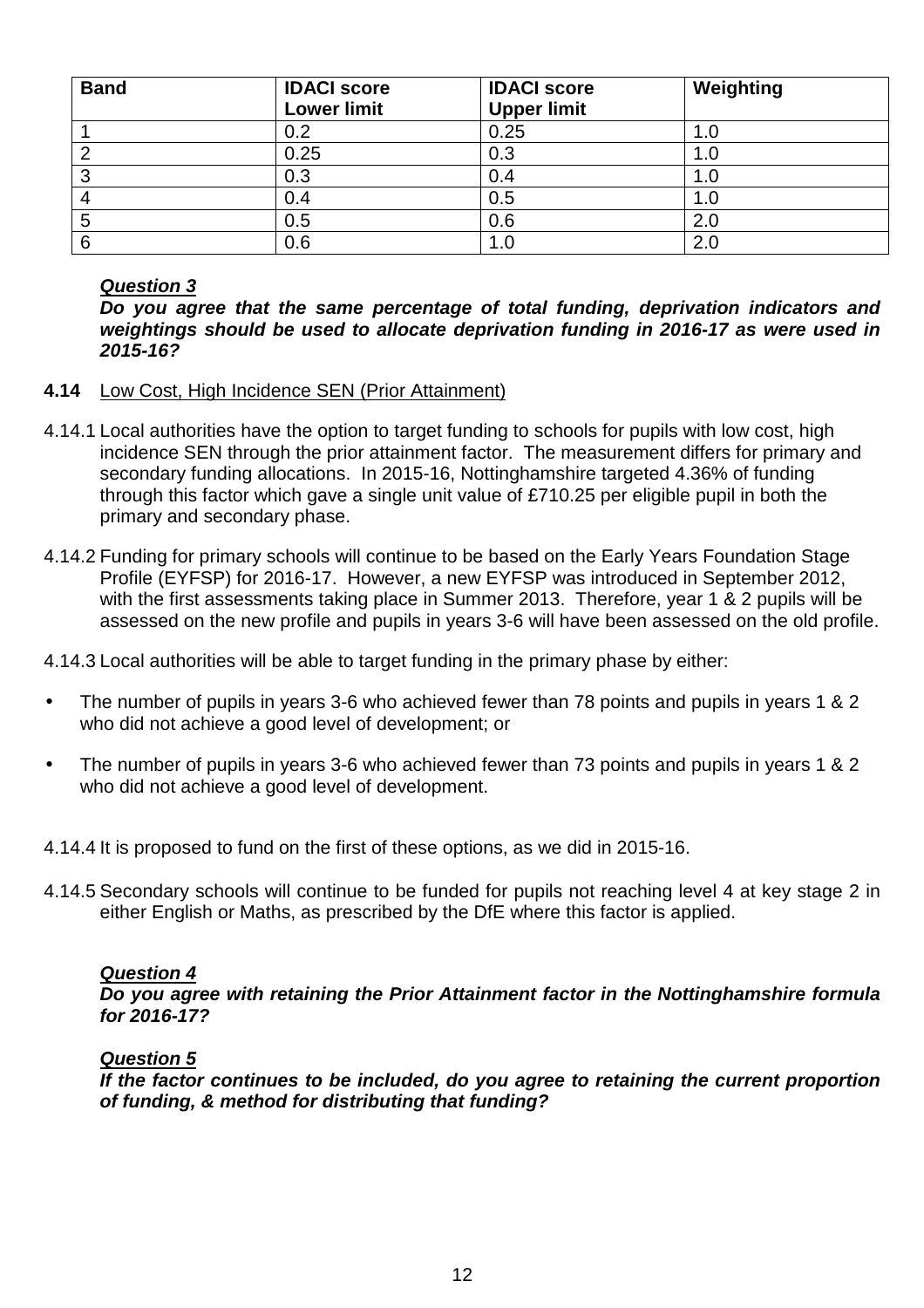| <b>Band</b> | <b>IDACI score</b><br><b>Lower limit</b> | <b>IDACI score</b><br><b>Upper limit</b> | Weighting |
|-------------|------------------------------------------|------------------------------------------|-----------|
|             | 0.2                                      | 0.25                                     | 1.0       |
| ◠           | 0.25                                     | 0.3                                      | 1.0       |
| 0<br>ບ      | 0.3                                      | 0.4                                      | 1.0       |
|             | 0.4                                      | 0.5                                      | 1.0       |
| 5           | 0.5                                      | 0.6                                      | 2.0       |
| 6           | 0.6                                      |                                          | 2.0       |

# **Question 3**

**Do you agree that the same percentage of total funding, deprivation indicators and weightings should be used to allocate deprivation funding in 2016-17 as were used in 2015-16?** 

- **4.14** Low Cost, High Incidence SEN (Prior Attainment)
- 4.14.1 Local authorities have the option to target funding to schools for pupils with low cost, high incidence SEN through the prior attainment factor. The measurement differs for primary and secondary funding allocations. In 2015-16, Nottinghamshire targeted 4.36% of funding through this factor which gave a single unit value of £710.25 per eligible pupil in both the primary and secondary phase.
- 4.14.2 Funding for primary schools will continue to be based on the Early Years Foundation Stage Profile (EYFSP) for 2016-17. However, a new EYFSP was introduced in September 2012, with the first assessments taking place in Summer 2013. Therefore, year 1 & 2 pupils will be assessed on the new profile and pupils in years 3-6 will have been assessed on the old profile.

4.14.3 Local authorities will be able to target funding in the primary phase by either:

- The number of pupils in years 3-6 who achieved fewer than 78 points and pupils in years 1 & 2 who did not achieve a good level of development; or
- The number of pupils in years 3-6 who achieved fewer than 73 points and pupils in years 1 & 2 who did not achieve a good level of development.

4.14.4 It is proposed to fund on the first of these options, as we did in 2015-16.

4.14.5 Secondary schools will continue to be funded for pupils not reaching level 4 at key stage 2 in either English or Maths, as prescribed by the DfE where this factor is applied.

# **Question 4**

**Do you agree with retaining the Prior Attainment factor in the Nottinghamshire formula for 2016-17?** 

#### **Question 5**

**If the factor continues to be included, do you agree to retaining the current proportion of funding, & method for distributing that funding?**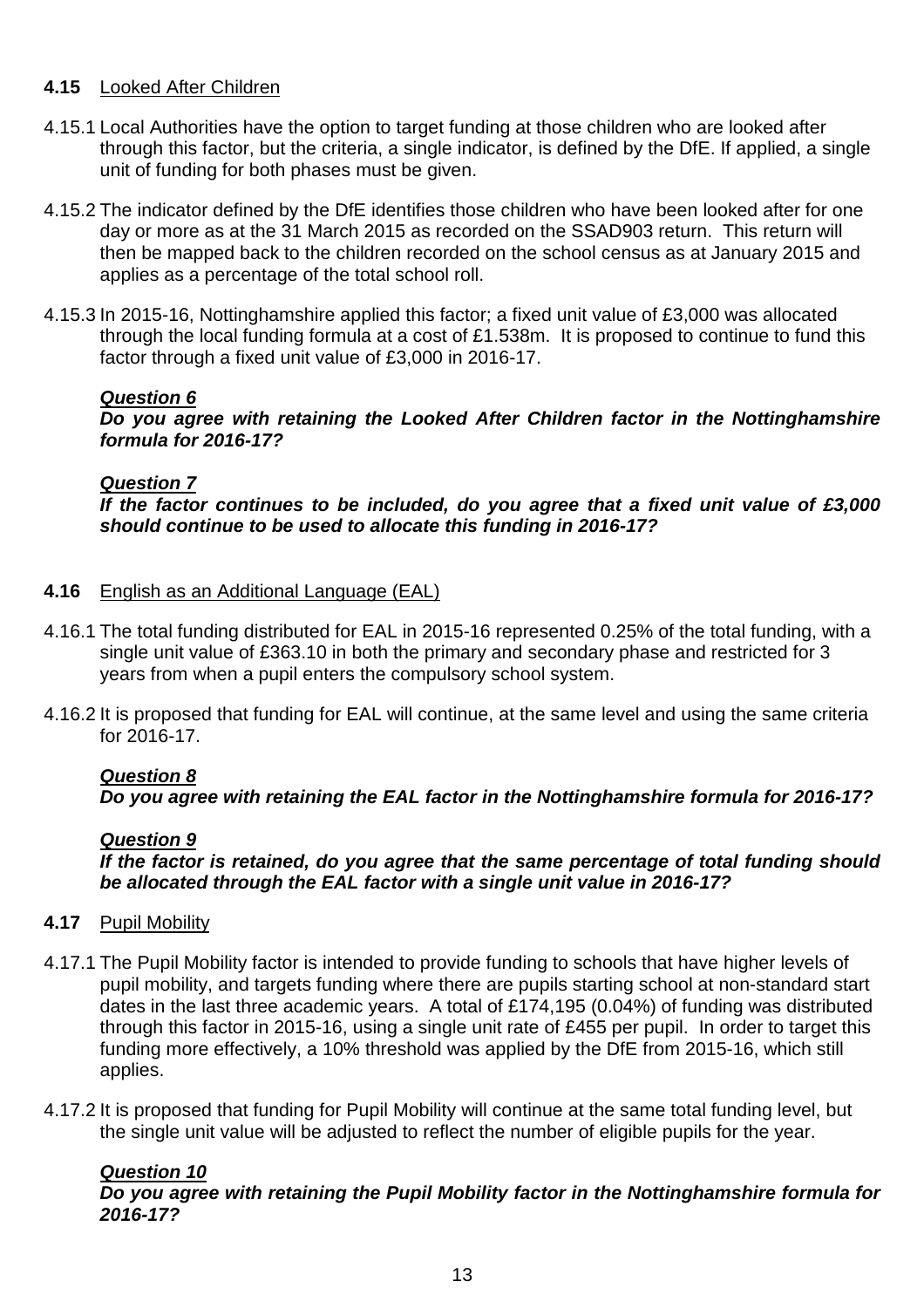# **4.15** Looked After Children

- 4.15.1 Local Authorities have the option to target funding at those children who are looked after through this factor, but the criteria, a single indicator, is defined by the DfE. If applied, a single unit of funding for both phases must be given.
- 4.15.2 The indicator defined by the DfE identifies those children who have been looked after for one day or more as at the 31 March 2015 as recorded on the SSAD903 return. This return will then be mapped back to the children recorded on the school census as at January 2015 and applies as a percentage of the total school roll.
- 4.15.3 In 2015-16, Nottinghamshire applied this factor; a fixed unit value of £3,000 was allocated through the local funding formula at a cost of £1.538m. It is proposed to continue to fund this factor through a fixed unit value of £3,000 in 2016-17.

# **Question 6**

**Do you agree with retaining the Looked After Children factor in the Nottinghamshire formula for 2016-17?** 

# **Question 7**

**If the factor continues to be included, do you agree that a fixed unit value of £3,000 should continue to be used to allocate this funding in 2016-17?** 

# **4.16** English as an Additional Language (EAL)

- 4.16.1 The total funding distributed for EAL in 2015-16 represented 0.25% of the total funding, with a single unit value of £363.10 in both the primary and secondary phase and restricted for 3 years from when a pupil enters the compulsory school system.
- 4.16.2 It is proposed that funding for EAL will continue, at the same level and using the same criteria for 2016-17.

# **Question 8**

**Do you agree with retaining the EAL factor in the Nottinghamshire formula for 2016-17?** 

# **Question 9**

**If the factor is retained, do you agree that the same percentage of total funding should be allocated through the EAL factor with a single unit value in 2016-17?** 

# **4.17** Pupil Mobility

- 4.17.1 The Pupil Mobility factor is intended to provide funding to schools that have higher levels of pupil mobility, and targets funding where there are pupils starting school at non-standard start dates in the last three academic years. A total of £174,195 (0.04%) of funding was distributed through this factor in 2015-16, using a single unit rate of £455 per pupil. In order to target this funding more effectively, a 10% threshold was applied by the DfE from 2015-16, which still applies.
- 4.17.2 It is proposed that funding for Pupil Mobility will continue at the same total funding level, but the single unit value will be adjusted to reflect the number of eligible pupils for the year.

# **Question 10 Do you agree with retaining the Pupil Mobility factor in the Nottinghamshire formula for 2016-17?**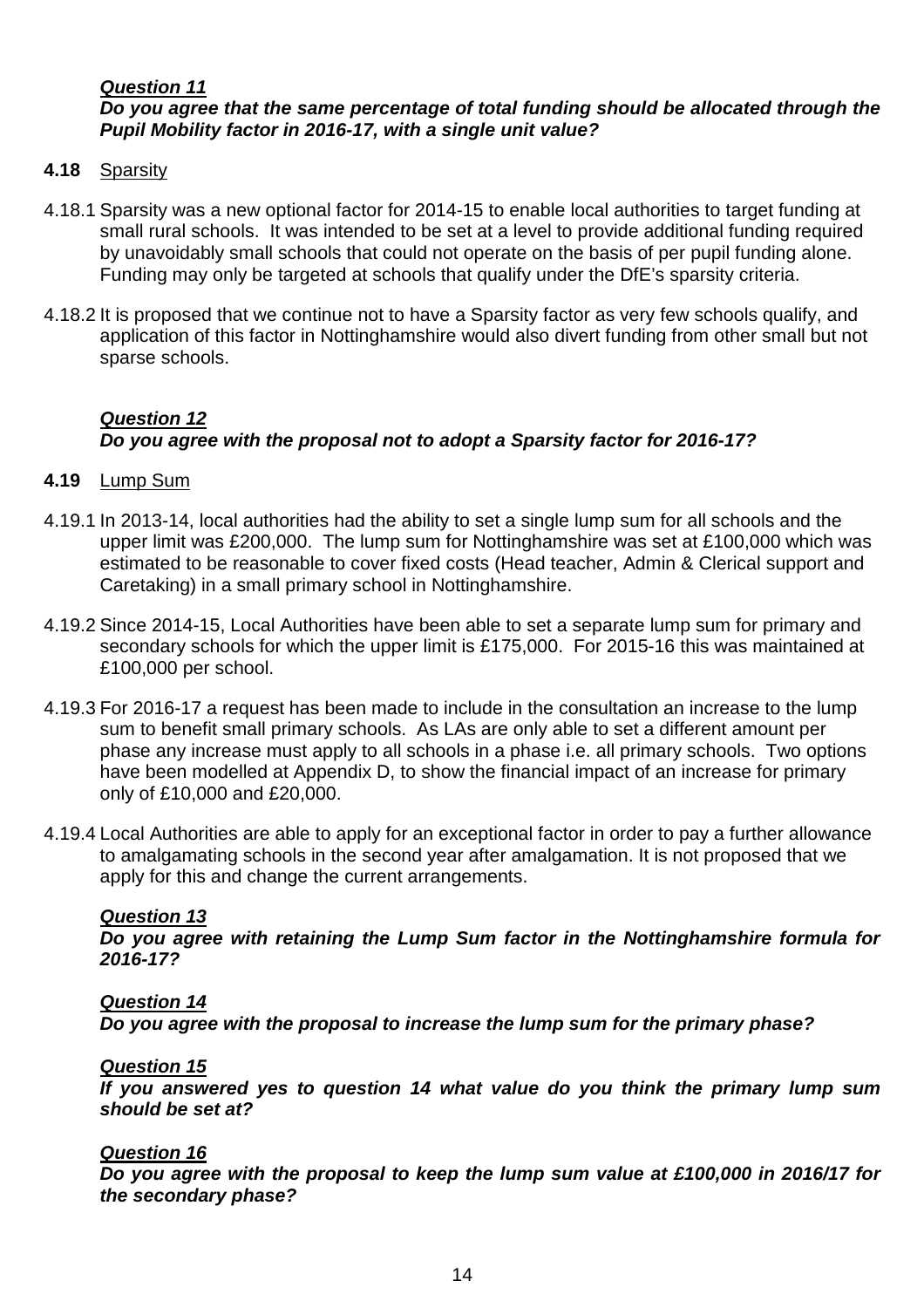# **Question 11 Do you agree that the same percentage of total funding should be allocated through the Pupil Mobility factor in 2016-17, with a single unit value?**

#### **4.18** Sparsity

- 4.18.1 Sparsity was a new optional factor for 2014-15 to enable local authorities to target funding at small rural schools. It was intended to be set at a level to provide additional funding required by unavoidably small schools that could not operate on the basis of per pupil funding alone. Funding may only be targeted at schools that qualify under the DfE's sparsity criteria.
- 4.18.2 It is proposed that we continue not to have a Sparsity factor as very few schools qualify, and application of this factor in Nottinghamshire would also divert funding from other small but not sparse schools.

# **Question 12 Do you agree with the proposal not to adopt a Sparsity factor for 2016-17?**

#### **4.19** Lump Sum

- 4.19.1 In 2013-14, local authorities had the ability to set a single lump sum for all schools and the upper limit was £200,000. The lump sum for Nottinghamshire was set at £100,000 which was estimated to be reasonable to cover fixed costs (Head teacher, Admin & Clerical support and Caretaking) in a small primary school in Nottinghamshire.
- 4.19.2 Since 2014-15, Local Authorities have been able to set a separate lump sum for primary and secondary schools for which the upper limit is £175,000. For 2015-16 this was maintained at £100,000 per school.
- 4.19.3 For 2016-17 a request has been made to include in the consultation an increase to the lump sum to benefit small primary schools. As LAs are only able to set a different amount per phase any increase must apply to all schools in a phase i.e. all primary schools. Two options have been modelled at Appendix D, to show the financial impact of an increase for primary only of £10,000 and £20,000.
- 4.19.4 Local Authorities are able to apply for an exceptional factor in order to pay a further allowance to amalgamating schools in the second year after amalgamation. It is not proposed that we apply for this and change the current arrangements.

#### **Question 13**

**Do you agree with retaining the Lump Sum factor in the Nottinghamshire formula for 2016-17?** 

#### **Question 14**

**Do you agree with the proposal to increase the lump sum for the primary phase?** 

#### **Question 15**

**If you answered yes to question 14 what value do you think the primary lump sum should be set at?** 

#### **Question 16**

**Do you agree with the proposal to keep the lump sum value at £100,000 in 2016/17 for the secondary phase?**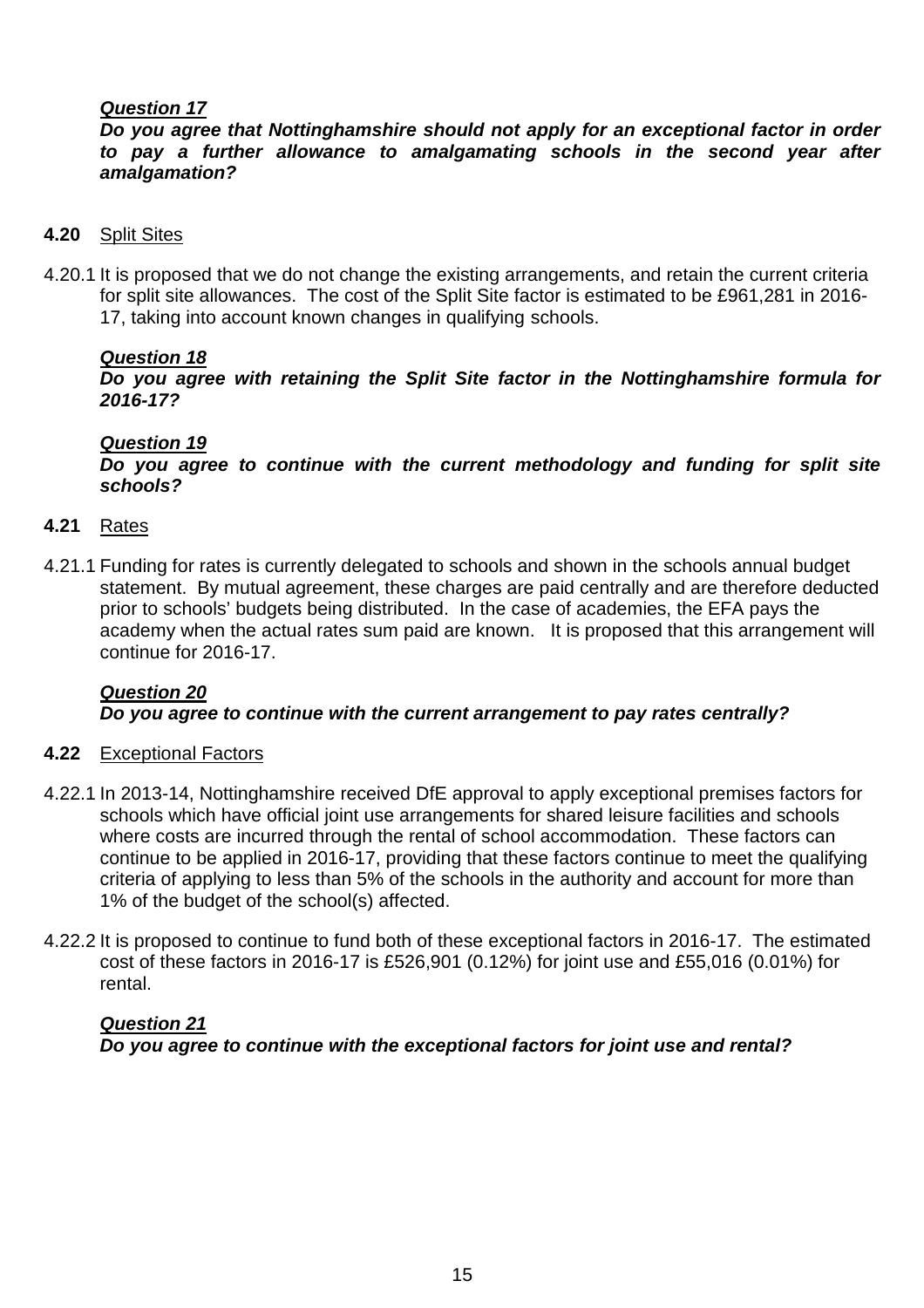# **Question 17**

**Do you agree that Nottinghamshire should not apply for an exceptional factor in order to pay a further allowance to amalgamating schools in the second year after amalgamation?** 

- **4.20** Split Sites
- 4.20.1 It is proposed that we do not change the existing arrangements, and retain the current criteria for split site allowances. The cost of the Split Site factor is estimated to be £961,281 in 2016- 17, taking into account known changes in qualifying schools.

# **Question 18**

**Do you agree with retaining the Split Site factor in the Nottinghamshire formula for 2016-17?** 

#### **Question 19**

**Do you agree to continue with the current methodology and funding for split site schools?** 

#### **4.21** Rates

4.21.1 Funding for rates is currently delegated to schools and shown in the schools annual budget statement. By mutual agreement, these charges are paid centrally and are therefore deducted prior to schools' budgets being distributed. In the case of academies, the EFA pays the academy when the actual rates sum paid are known. It is proposed that this arrangement will continue for 2016-17.

#### **Question 20 Do you agree to continue with the current arrangement to pay rates centrally?**

#### **4.22** Exceptional Factors

- 4.22.1 In 2013-14, Nottinghamshire received DfE approval to apply exceptional premises factors for schools which have official joint use arrangements for shared leisure facilities and schools where costs are incurred through the rental of school accommodation. These factors can continue to be applied in 2016-17, providing that these factors continue to meet the qualifying criteria of applying to less than 5% of the schools in the authority and account for more than 1% of the budget of the school(s) affected.
- 4.22.2 It is proposed to continue to fund both of these exceptional factors in 2016-17. The estimated cost of these factors in 2016-17 is £526,901 (0.12%) for joint use and £55,016 (0.01%) for rental.

# **Question 21 Do you agree to continue with the exceptional factors for joint use and rental?**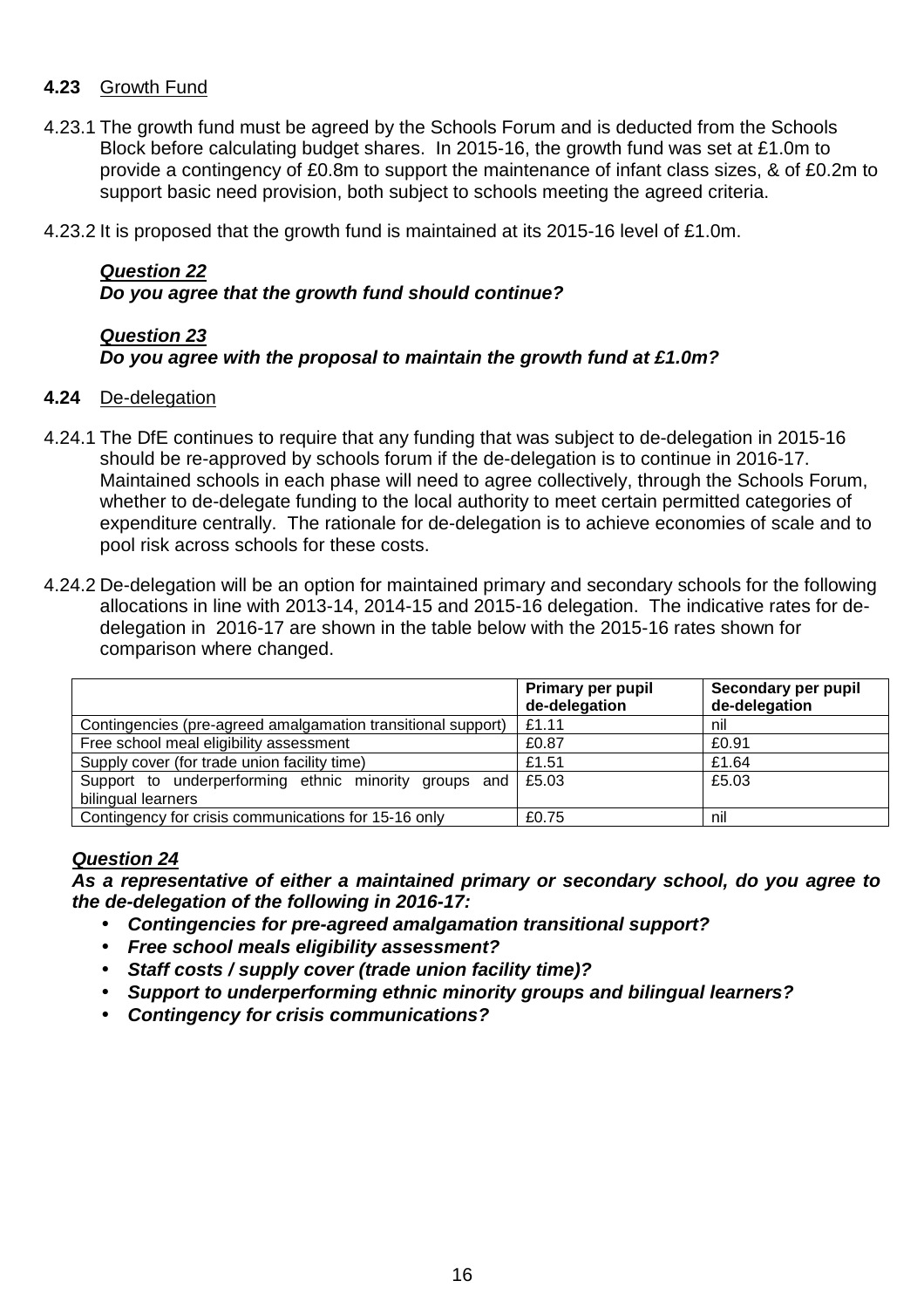# **4.23** Growth Fund

- 4.23.1 The growth fund must be agreed by the Schools Forum and is deducted from the Schools Block before calculating budget shares. In 2015-16, the growth fund was set at £1.0m to provide a contingency of £0.8m to support the maintenance of infant class sizes, & of £0.2m to support basic need provision, both subject to schools meeting the agreed criteria.
- 4.23.2 It is proposed that the growth fund is maintained at its 2015-16 level of £1.0m.

# **Question 22 Do you agree that the growth fund should continue?**

# **Question 23**

# **Do you agree with the proposal to maintain the growth fund at £1.0m?**

# **4.24** De-delegation

- 4.24.1 The DfE continues to require that any funding that was subject to de-delegation in 2015-16 should be re-approved by schools forum if the de-delegation is to continue in 2016-17. Maintained schools in each phase will need to agree collectively, through the Schools Forum, whether to de-delegate funding to the local authority to meet certain permitted categories of expenditure centrally. The rationale for de-delegation is to achieve economies of scale and to pool risk across schools for these costs.
- 4.24.2 De-delegation will be an option for maintained primary and secondary schools for the following allocations in line with 2013-14, 2014-15 and 2015-16 delegation. The indicative rates for dedelegation in 2016-17 are shown in the table below with the 2015-16 rates shown for comparison where changed.

|                                                              | <b>Primary per pupil</b><br>de-delegation | Secondary per pupil<br>de-delegation |
|--------------------------------------------------------------|-------------------------------------------|--------------------------------------|
| Contingencies (pre-agreed amalgamation transitional support) | £1.11                                     | nil                                  |
| Free school meal eligibility assessment                      | £0.87                                     | £0.91                                |
| Supply cover (for trade union facility time)                 | £1.51                                     | £1.64                                |
| Support to underperforming ethnic minority groups and        | $\vert$ £5.03                             | £5.03                                |
| bilingual learners                                           |                                           |                                      |
| Contingency for crisis communications for 15-16 only         | £0.75                                     | nil                                  |

# **Question 24**

**As a representative of either a maintained primary or secondary school, do you agree to the de-delegation of the following in 2016-17:** 

- **Contingencies for pre-agreed amalgamation transitional support?**
- **Free school meals eligibility assessment?**
- **Staff costs / supply cover (trade union facility time)?**
- **Support to underperforming ethnic minority groups and bilingual learners?**
- **Contingency for crisis communications?**